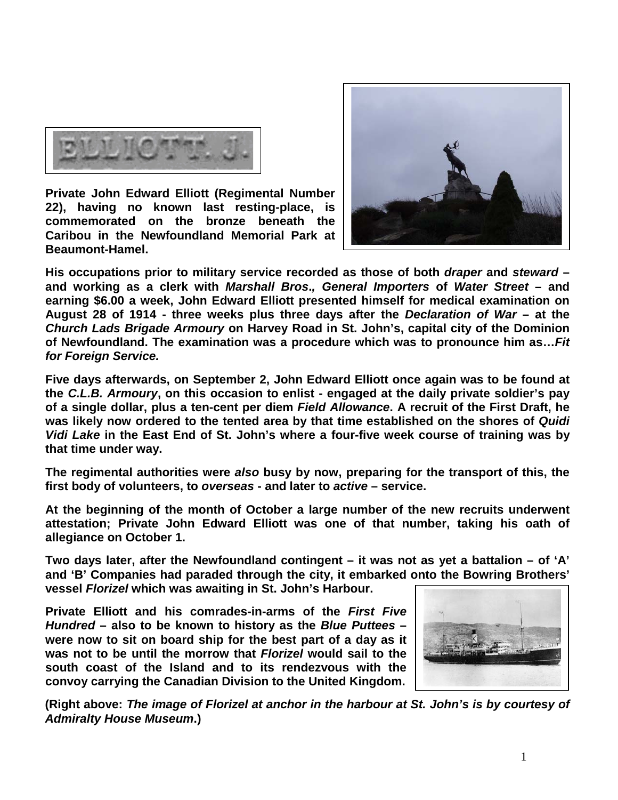

**Private John Edward Elliott (Regimental Number 22), having no known last resting-place, is commemorated on the bronze beneath the Caribou in the Newfoundland Memorial Park at Beaumont-Hamel.** 



**His occupations prior to military service recorded as those of both** *draper* **and** *steward* **– and working as a clerk with** *Marshall Bros***.***, General Importers* **of** *Water Street* **– and earning \$6.00 a week, John Edward Elliott presented himself for medical examination on August 28 of 1914 - three weeks plus three days after the** *Declaration of War* **– at the**  *Church Lads Brigade Armoury* **on Harvey Road in St. John's, capital city of the Dominion of Newfoundland. The examination was a procedure which was to pronounce him as…***Fit for Foreign Service.*

**Five days afterwards, on September 2, John Edward Elliott once again was to be found at the** *C.L.B. Armoury***, on this occasion to enlist - engaged at the daily private soldier's pay of a single dollar, plus a ten-cent per diem** *Field Allowance***. A recruit of the First Draft, he was likely now ordered to the tented area by that time established on the shores of** *Quidi Vidi Lake* **in the East End of St. John's where a four-five week course of training was by that time under way.**

**The regimental authorities were** *also* **busy by now, preparing for the transport of this, the first body of volunteers, to** *overseas* **- and later to** *active* **– service.**

**At the beginning of the month of October a large number of the new recruits underwent attestation; Private John Edward Elliott was one of that number, taking his oath of allegiance on October 1.**

**Two days later, after the Newfoundland contingent – it was not as yet a battalion – of 'A' and 'B' Companies had paraded through the city, it embarked onto the Bowring Brothers' vessel** *Florizel* **which was awaiting in St. John's Harbour.** 

**Private Elliott and his comrades-in-arms of the** *First Five Hundred* **– also to be known to history as the** *Blue Puttees* **– were now to sit on board ship for the best part of a day as it was not to be until the morrow that** *Florizel* **would sail to the south coast of the Island and to its rendezvous with the convoy carrying the Canadian Division to the United Kingdom.** 



**(Right above:** *The image of Florizel at anchor in the harbour at St. John's is by courtesy of Admiralty House Museum***.)**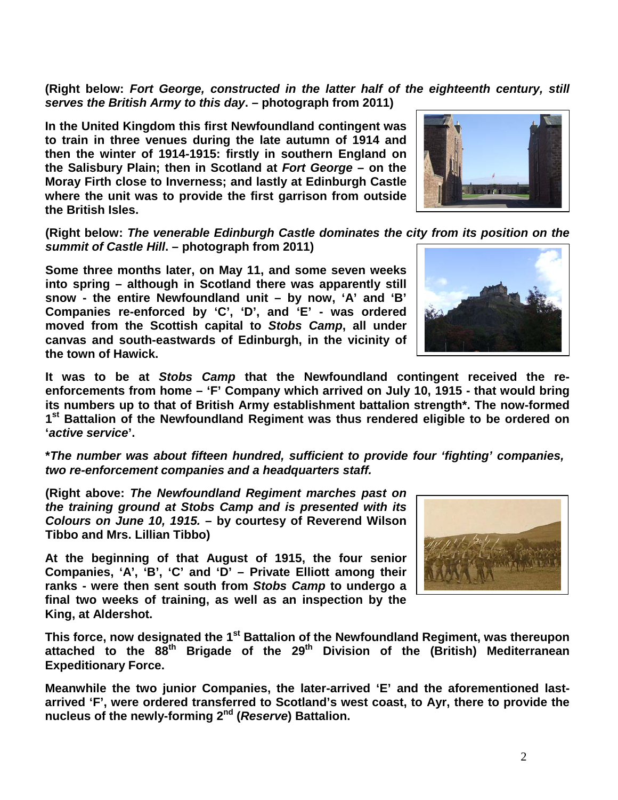**(Right below:** *Fort George, constructed in the latter half of the eighteenth century, still serves the British Army to this day***. – photograph from 2011)**

**In the United Kingdom this first Newfoundland contingent was to train in three venues during the late autumn of 1914 and then the winter of 1914-1915: firstly in southern England on the Salisbury Plain; then in Scotland at** *Fort George* **– on the Moray Firth close to Inverness; and lastly at Edinburgh Castle where the unit was to provide the first garrison from outside the British Isles.** 

**(Right below:** *The venerable Edinburgh Castle dominates the city from its position on the summit of Castle Hill***. – photograph from 2011)**

**Some three months later, on May 11, and some seven weeks into spring – although in Scotland there was apparently still snow - the entire Newfoundland unit – by now, 'A' and 'B' Companies re-enforced by 'C', 'D', and 'E' - was ordered moved from the Scottish capital to** *Stobs Camp***, all under canvas and south-eastwards of Edinburgh, in the vicinity of the town of Hawick.**

**It was to be at** *Stobs Camp* **that the Newfoundland contingent received the reenforcements from home – 'F' Company which arrived on July 10, 1915 - that would bring its numbers up to that of British Army establishment battalion strength\*. The now-formed 1st Battalion of the Newfoundland Regiment was thus rendered eligible to be ordered on '***active service***'.**

**\****The number was about fifteen hundred, sufficient to provide four 'fighting' companies, two re-enforcement companies and a headquarters staff.*

**(Right above:** *The Newfoundland Regiment marches past on the training ground at Stobs Camp and is presented with its Colours on June 10, 1915.* **– by courtesy of Reverend Wilson Tibbo and Mrs. Lillian Tibbo)**

**At the beginning of that August of 1915, the four senior Companies, 'A', 'B', 'C' and 'D' – Private Elliott among their ranks - were then sent south from** *Stobs Camp* **to undergo a final two weeks of training, as well as an inspection by the King, at Aldershot.** 

**This force, now designated the 1st Battalion of the Newfoundland Regiment, was thereupon attached to the 88th Brigade of the 29th Division of the (British) Mediterranean Expeditionary Force.**

**Meanwhile the two junior Companies, the later-arrived 'E' and the aforementioned lastarrived 'F', were ordered transferred to Scotland's west coast, to Ayr, there to provide the nucleus of the newly-forming 2nd (***Reserve***) Battalion.**





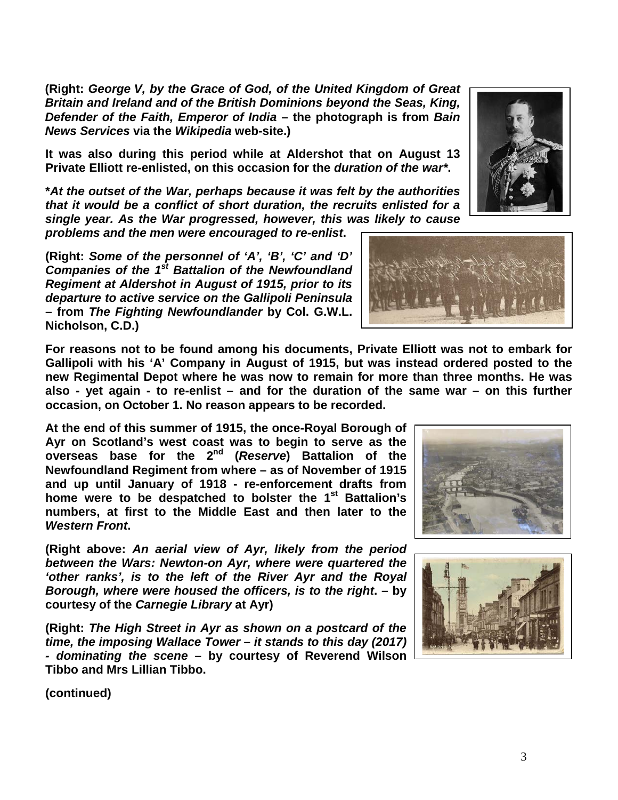**(Right:** *George V, by the Grace of God, of the United Kingdom of Great Britain and Ireland and of the British Dominions beyond the Seas, King, Defender of the Faith, Emperor of India* **– the photograph is from** *Bain News Services* **via the** *Wikipedia* **web-site.)**

**It was also during this period while at Aldershot that on August 13 Private Elliott re-enlisted, on this occasion for the** *duration of the war\****.**

**\****At the outset of the War, perhaps because it was felt by the authorities that it would be a conflict of short duration, the recruits enlisted for a single year. As the War progressed, however, this was likely to cause problems and the men were encouraged to re-enlist***.**

**(Right:** *Some of the personnel of 'A', 'B', 'C' and 'D' Companies of the 1st Battalion of the Newfoundland Regiment at Aldershot in August of 1915, prior to its departure to active service on the Gallipoli Peninsula*  **– from** *The Fighting Newfoundlander* **by Col. G.W.L. Nicholson, C.D.)**

**For reasons not to be found among his documents, Private Elliott was not to embark for Gallipoli with his 'A' Company in August of 1915, but was instead ordered posted to the new Regimental Depot where he was now to remain for more than three months. He was also - yet again - to re-enlist – and for the duration of the same war – on this further occasion, on October 1. No reason appears to be recorded.**

**At the end of this summer of 1915, the once-Royal Borough of Ayr on Scotland's west coast was to begin to serve as the overseas base for the 2nd (***Reserve***) Battalion of the Newfoundland Regiment from where – as of November of 1915 and up until January of 1918 - re-enforcement drafts from home were to be despatched to bolster the 1st Battalion's numbers, at first to the Middle East and then later to the**  *Western Front***.**

**(Right above:** *An aerial view of Ayr, likely from the period between the Wars: Newton-on Ayr, where were quartered the 'other ranks', is to the left of the River Ayr and the Royal Borough, where were housed the officers, is to the right***. – by courtesy of the** *Carnegie Library* **at Ayr)**

**(Right:** *The High Street in Ayr as shown on a postcard of the time, the imposing Wallace Tower – it stands to this day (2017) - dominating the scene* **– by courtesy of Reverend Wilson Tibbo and Mrs Lillian Tibbo.**

**(continued)**









3

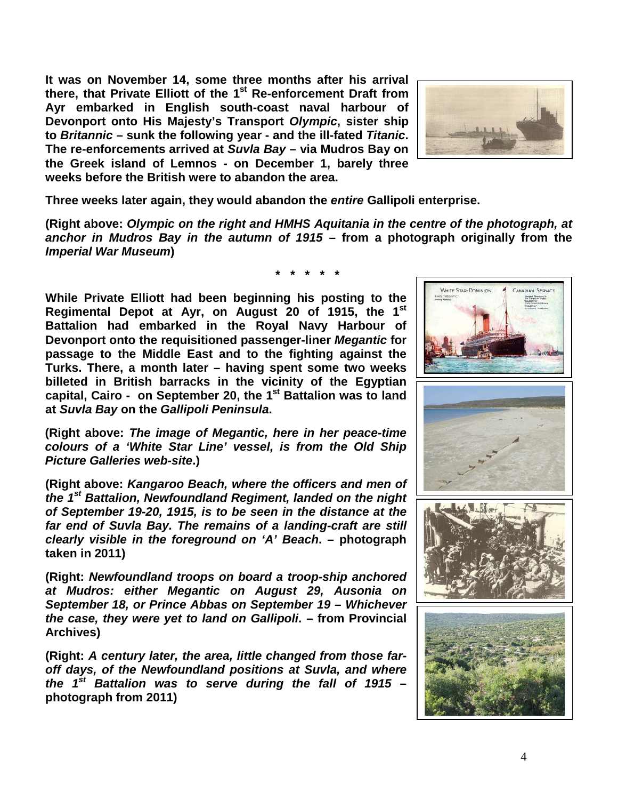**It was on November 14, some three months after his arrival there, that Private Elliott of the 1st Re-enforcement Draft from Ayr embarked in English south-coast naval harbour of Devonport onto His Majesty's Transport** *Olympic***, sister ship to** *Britannic* **– sunk the following year - and the ill-fated** *Titanic***. The re-enforcements arrived at** *Suvla Bay* **– via Mudros Bay on the Greek island of Lemnos - on December 1, barely three weeks before the British were to abandon the area.**



**Three weeks later again, they would abandon the** *entire* **Gallipoli enterprise.**

**(Right above:** *Olympic on the right and HMHS Aquitania in the centre of the photograph, at anchor in Mudros Bay in the autumn of 1915* **– from a photograph originally from the**  *Imperial War Museum***)**

**While Private Elliott had been beginning his posting to the Regimental Depot at Ayr, on August 20 of 1915, the 1st Battalion had embarked in the Royal Navy Harbour of Devonport onto the requisitioned passenger-liner** *Megantic* **for passage to the Middle East and to the fighting against the Turks. There, a month later – having spent some two weeks billeted in British barracks in the vicinity of the Egyptian capital, Cairo - on September 20, the 1st Battalion was to land at** *Suvla Bay* **on the** *Gallipoli Peninsula***.**

**(Right above:** *The image of Megantic, here in her peace-time colours of a 'White Star Line' vessel, is from the Old Ship Picture Galleries web-site***.)**

**(Right above:** *Kangaroo Beach, where the officers and men of the 1st Battalion, Newfoundland Regiment, landed on the night of September 19-20, 1915, is to be seen in the distance at the far end of Suvla Bay. The remains of a landing-craft are still clearly visible in the foreground on 'A' Beach***. – photograph taken in 2011)**

**(Right:** *Newfoundland troops on board a troop-ship anchored at Mudros: either Megantic on August 29, Ausonia on September 18, or Prince Abbas on September 19 – Whichever the case, they were yet to land on Gallipoli***. – from Provincial Archives)**

**(Right:** *A century later, the area, little changed from those faroff days, of the Newfoundland positions at Suvla, and where the 1st Battalion was to serve during the fall of 1915* **– photograph from 2011)**



**\* \* \* \* \***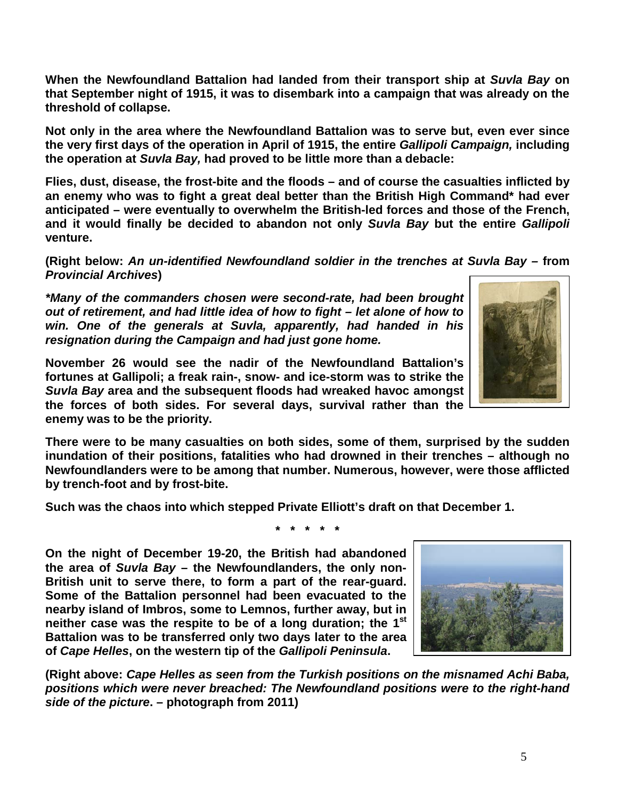**When the Newfoundland Battalion had landed from their transport ship at** *Suvla Bay* **on that September night of 1915, it was to disembark into a campaign that was already on the threshold of collapse.**

**Not only in the area where the Newfoundland Battalion was to serve but, even ever since the very first days of the operation in April of 1915, the entire** *Gallipoli Campaign,* **including the operation at** *Suvla Bay,* **had proved to be little more than a debacle:** 

**Flies, dust, disease, the frost-bite and the floods – and of course the casualties inflicted by an enemy who was to fight a great deal better than the British High Command\* had ever anticipated – were eventually to overwhelm the British-led forces and those of the French, and it would finally be decided to abandon not only** *Suvla Bay* **but the entire** *Gallipoli* **venture.**

**(Right below:** *An un-identified Newfoundland soldier in the trenches at Suvla Bay –* **from**  *Provincial Archives***)**

*\*Many of the commanders chosen were second-rate, had been brought out of retirement, and had little idea of how to fight – let alone of how to win. One of the generals at Suvla, apparently, had handed in his resignation during the Campaign and had just gone home.* 

**November 26 would see the nadir of the Newfoundland Battalion's fortunes at Gallipoli; a freak rain-, snow- and ice-storm was to strike the**  *Suvla Bay* **area and the subsequent floods had wreaked havoc amongst the forces of both sides. For several days, survival rather than the enemy was to be the priority.**

**There were to be many casualties on both sides, some of them, surprised by the sudden inundation of their positions, fatalities who had drowned in their trenches – although no Newfoundlanders were to be among that number. Numerous, however, were those afflicted by trench-foot and by frost-bite.**

**Such was the chaos into which stepped Private Elliott's draft on that December 1.**

**\* \* \* \* \***

**On the night of December 19-20, the British had abandoned the area of** *Suvla Bay* **– the Newfoundlanders, the only non-British unit to serve there, to form a part of the rear-guard. Some of the Battalion personnel had been evacuated to the nearby island of Imbros, some to Lemnos, further away, but in neither case was the respite to be of a long duration; the 1st Battalion was to be transferred only two days later to the area of** *Cape Helles***, on the western tip of the** *Gallipoli Peninsula***.**

**(Right above:** *Cape Helles as seen from the Turkish positions on the misnamed Achi Baba, positions which were never breached: The Newfoundland positions were to the right-hand side of the picture***. – photograph from 2011)**



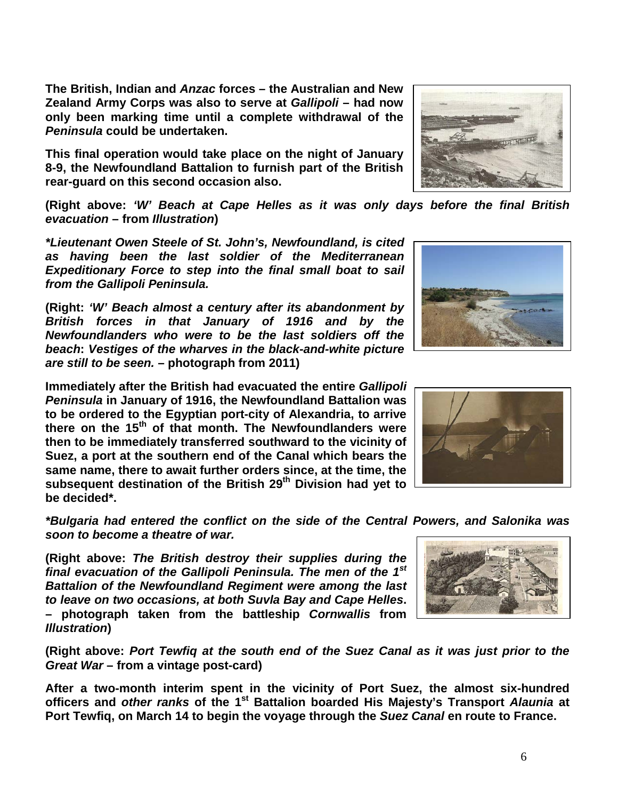**The British, Indian and** *Anzac* **forces – the Australian and New Zealand Army Corps was also to serve at** *Gallipoli* **– had now only been marking time until a complete withdrawal of the**  *Peninsula* **could be undertaken.** 

**This final operation would take place on the night of January 8-9, the Newfoundland Battalion to furnish part of the British rear-guard on this second occasion also.**

**(Right above:** *'W' Beach at Cape Helles as it was only days before the final British evacuation* **– from** *Illustration***)**

*\*Lieutenant Owen Steele of St. John's, Newfoundland, is cited as having been the last soldier of the Mediterranean Expeditionary Force to step into the final small boat to sail from the Gallipoli Peninsula.*

**(Right:** *'W' Beach almost a century after its abandonment by British forces in that January of 1916 and by the Newfoundlanders who were to be the last soldiers off the beach***:** *Vestiges of the wharves in the black-and-white picture are still to be seen.* **– photograph from 2011)**

**Immediately after the British had evacuated the entire** *Gallipoli Peninsula* **in January of 1916, the Newfoundland Battalion was to be ordered to the Egyptian port-city of Alexandria, to arrive there on the 15th of that month. The Newfoundlanders were then to be immediately transferred southward to the vicinity of Suez, a port at the southern end of the Canal which bears the same name, there to await further orders since, at the time, the subsequent destination of the British 29th Division had yet to be decided\*.**

*\*Bulgaria had entered the conflict on the side of the Central Powers, and Salonika was soon to become a theatre of war.*

**(Right above:** *The British destroy their supplies during the final evacuation of the Gallipoli Peninsula. The men of the 1st Battalion of the Newfoundland Regiment were among the last to leave on two occasions, at both Suvla Bay and Cape Helles***. – photograph taken from the battleship** *Cornwallis* **from**  *Illustration***)**

**(Right above:** *Port Tewfiq at the south end of the Suez Canal as it was just prior to the Great War* **– from a vintage post-card)**

**After a two-month interim spent in the vicinity of Port Suez, the almost six-hundred officers and** *other ranks* **of the 1st Battalion boarded His Majesty's Transport** *Alaunia* **at Port Tewfiq, on March 14 to begin the voyage through the** *Suez Canal* **en route to France.** 







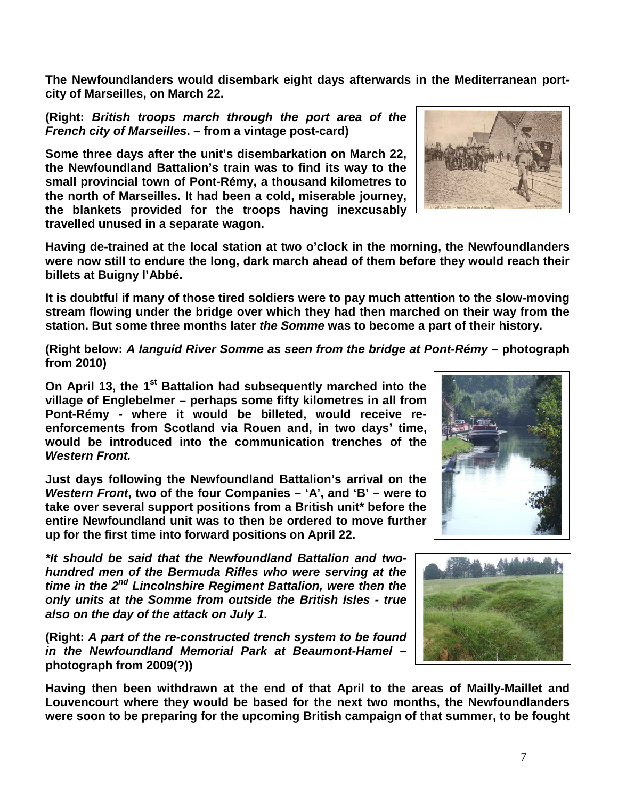**The Newfoundlanders would disembark eight days afterwards in the Mediterranean portcity of Marseilles, on March 22.**

**(Right:** *British troops march through the port area of the French city of Marseilles***. – from a vintage post-card)**

**Some three days after the unit's disembarkation on March 22, the Newfoundland Battalion's train was to find its way to the small provincial town of Pont-Rémy, a thousand kilometres to the north of Marseilles. It had been a cold, miserable journey, the blankets provided for the troops having inexcusably travelled unused in a separate wagon.**

**Having de-trained at the local station at two o'clock in the morning, the Newfoundlanders were now still to endure the long, dark march ahead of them before they would reach their billets at Buigny l'Abbé.**

**It is doubtful if many of those tired soldiers were to pay much attention to the slow-moving stream flowing under the bridge over which they had then marched on their way from the station. But some three months later** *the Somme* **was to become a part of their history.**

**(Right below:** *A languid River Somme as seen from the bridge at Pont-Rémy* **– photograph from 2010)**

On April 13, the 1<sup>st</sup> Battalion had subsequently marched into the **village of Englebelmer – perhaps some fifty kilometres in all from Pont-Rémy - where it would be billeted, would receive reenforcements from Scotland via Rouen and, in two days' time, would be introduced into the communication trenches of the**  *Western Front.*

**Just days following the Newfoundland Battalion's arrival on the**  *Western Front***, two of the four Companies – 'A', and 'B' – were to take over several support positions from a British unit\* before the entire Newfoundland unit was to then be ordered to move further up for the first time into forward positions on April 22.**

*\*It should be said that the Newfoundland Battalion and twohundred men of the Bermuda Rifles who were serving at the time in the 2nd Lincolnshire Regiment Battalion, were then the only units at the Somme from outside the British Isles - true also on the day of the attack on July 1.*

**(Right:** *A part of the re-constructed trench system to be found in the Newfoundland Memorial Park at Beaumont-Hamel* **– photograph from 2009(?))**

**Having then been withdrawn at the end of that April to the areas of Mailly-Maillet and Louvencourt where they would be based for the next two months, the Newfoundlanders were soon to be preparing for the upcoming British campaign of that summer, to be fought** 





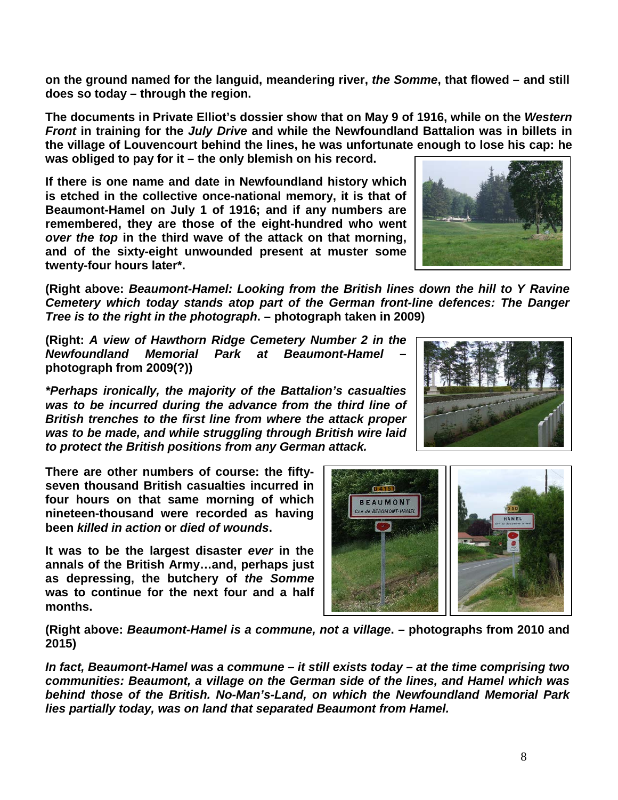**on the ground named for the languid, meandering river,** *the Somme***, that flowed – and still does so today – through the region.**

**The documents in Private Elliot's dossier show that on May 9 of 1916, while on the** *Western Front* **in training for the** *July Drive* **and while the Newfoundland Battalion was in billets in the village of Louvencourt behind the lines, he was unfortunate enough to lose his cap: he was obliged to pay for it – the only blemish on his record.** 

**If there is one name and date in Newfoundland history which is etched in the collective once-national memory, it is that of Beaumont-Hamel on July 1 of 1916; and if any numbers are remembered, they are those of the eight-hundred who went**  *over the top* **in the third wave of the attack on that morning, and of the sixty-eight unwounded present at muster some twenty-four hours later\*.**

**(Right above:** *Beaumont-Hamel: Looking from the British lines down the hill to Y Ravine Cemetery which today stands atop part of the German front-line defences: The Danger Tree is to the right in the photograph***. – photograph taken in 2009)**

**(Right:** *A view of Hawthorn Ridge Cemetery Number 2 in the Newfoundland Memorial Park at Beaumont-Hamel* **– photograph from 2009(?))**

*\*Perhaps ironically, the majority of the Battalion's casualties was to be incurred during the advance from the third line of British trenches to the first line from where the attack proper was to be made, and while struggling through British wire laid to protect the British positions from any German attack.*

**There are other numbers of course: the fiftyseven thousand British casualties incurred in four hours on that same morning of which nineteen-thousand were recorded as having been** *killed in action* **or** *died of wounds***.** 

**It was to be the largest disaster** *ever* **in the annals of the British Army…and, perhaps just as depressing, the butchery of** *the Somme* **was to continue for the next four and a half months.**

**(Right above:** *Beaumont-Hamel is a commune, not a village***. – photographs from 2010 and 2015)**

*In fact, Beaumont-Hamel was a commune – it still exists today – at the time comprising two communities: Beaumont, a village on the German side of the lines, and Hamel which was behind those of the British. No-Man's-Land, on which the Newfoundland Memorial Park lies partially today, was on land that separated Beaumont from Hamel.*